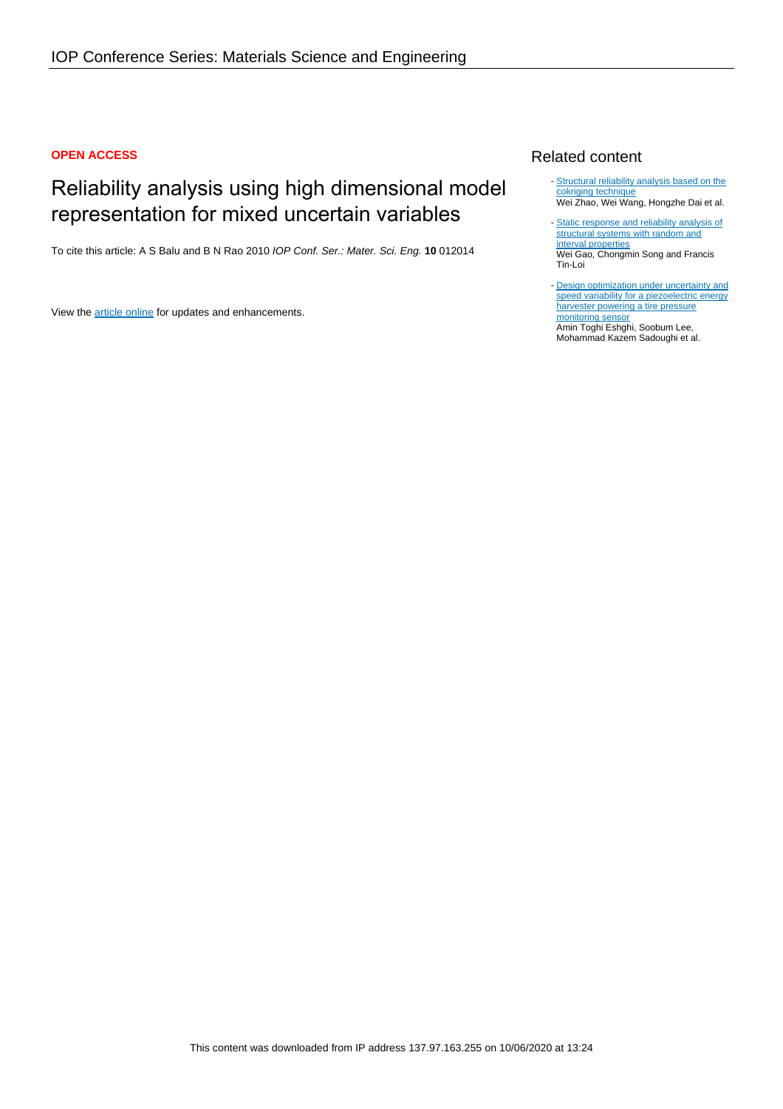## **OPEN ACCESS**

# Reliability analysis using high dimensional model representation for mixed uncertain variables

To cite this article: A S Balu and B N Rao 2010 IOP Conf. Ser.: Mater. Sci. Eng. **10** 012014

View the [article online](https://doi.org/10.1088/1757-899X/10/1/012014) for updates and enhancements.

# Related content

- [Structural reliability analysis based on the](http://iopscience.iop.org/article/10.1088/1757-899X/10/1/012204) [cokriging technique](http://iopscience.iop.org/article/10.1088/1757-899X/10/1/012204) Wei Zhao, Wei Wang, Hongzhe Dai et al.
- [Static response and reliability analysis of](http://iopscience.iop.org/article/10.1088/1757-899X/10/1/012200) [structural systems with random and](http://iopscience.iop.org/article/10.1088/1757-899X/10/1/012200) [interval properties](http://iopscience.iop.org/article/10.1088/1757-899X/10/1/012200) Wei Gao, Chongmin Song and Francis Tin-Loi -
- [Design optimization under uncertainty and](http://iopscience.iop.org/article/10.1088/1361-665X/aa8886) [speed variability for a piezoelectric energy](http://iopscience.iop.org/article/10.1088/1361-665X/aa8886) [harvester powering a tire pressure](http://iopscience.iop.org/article/10.1088/1361-665X/aa8886) [monitoring sensor](http://iopscience.iop.org/article/10.1088/1361-665X/aa8886)

Amin Toghi Eshghi, Soobum Lee, Mohammad Kazem Sadoughi et al.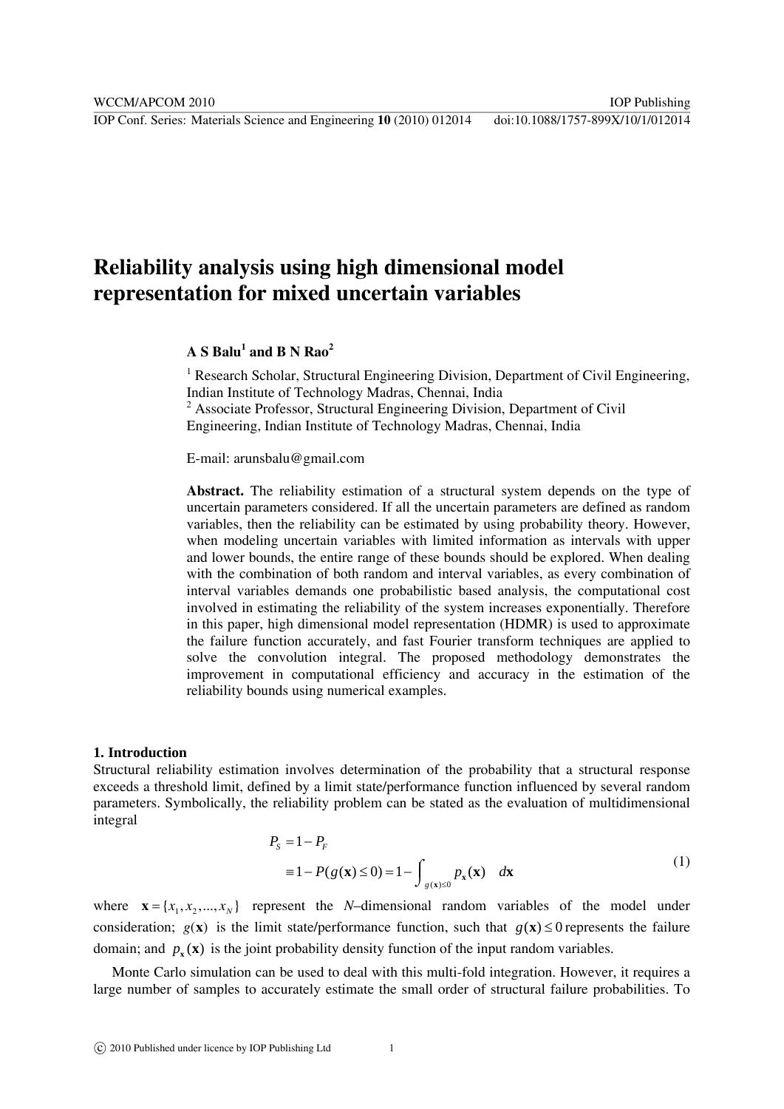IOP Conf. Series: Materials Science and Engineering **10** (2010) 012014 doi:10.1088/1757-899X/10/1/012014

# **Reliability analysis using high dimensional model representation for mixed uncertain variables**

# **A S Balu<sup>1</sup> and B N Rao<sup>2</sup>**

<sup>1</sup> Research Scholar, Structural Engineering Division, Department of Civil Engineering, Indian Institute of Technology Madras, Chennai, India <sup>2</sup> Associate Professor, Structural Engineering Division, Department of Civil Engineering, Indian Institute of Technology Madras, Chennai, India

E-mail: arunsbalu@gmail.com

**Abstract.** The reliability estimation of a structural system depends on the type of uncertain parameters considered. If all the uncertain parameters are defined as random variables, then the reliability can be estimated by using probability theory. However, when modeling uncertain variables with limited information as intervals with upper and lower bounds, the entire range of these bounds should be explored. When dealing with the combination of both random and interval variables, as every combination of interval variables demands one probabilistic based analysis, the computational cost involved in estimating the reliability of the system increases exponentially. Therefore in this paper, high dimensional model representation (HDMR) is used to approximate the failure function accurately, and fast Fourier transform techniques are applied to solve the convolution integral. The proposed methodology demonstrates the improvement in computational efficiency and accuracy in the estimation of the reliability bounds using numerical examples.

#### **1. Introduction**

Structural reliability estimation involves determination of the probability that a structural response exceeds a threshold limit, defined by a limit state/performance function influenced by several random parameters. Symbolically, the reliability problem can be stated as the evaluation of multidimensional integral

$$
P_{s} = 1 - P_{F}
$$
  
= 1 - P(g(x) \le 0) = 1 -  $\int_{g(x) \le 0} p_{x}(x) dx$  (1)

where  $\mathbf{x} = \{x_1, x_2, ..., x_N\}$  represent the *N*–dimensional random variables of the model under consideration;  $g(x)$  is the limit state/performance function, such that  $g(x) \le 0$  represents the failure domain; and  $p_x(x)$  is the joint probability density function of the input random variables.

Monte Carlo simulation can be used to deal with this multi-fold integration. However, it requires a large number of samples to accurately estimate the small order of structural failure probabilities. To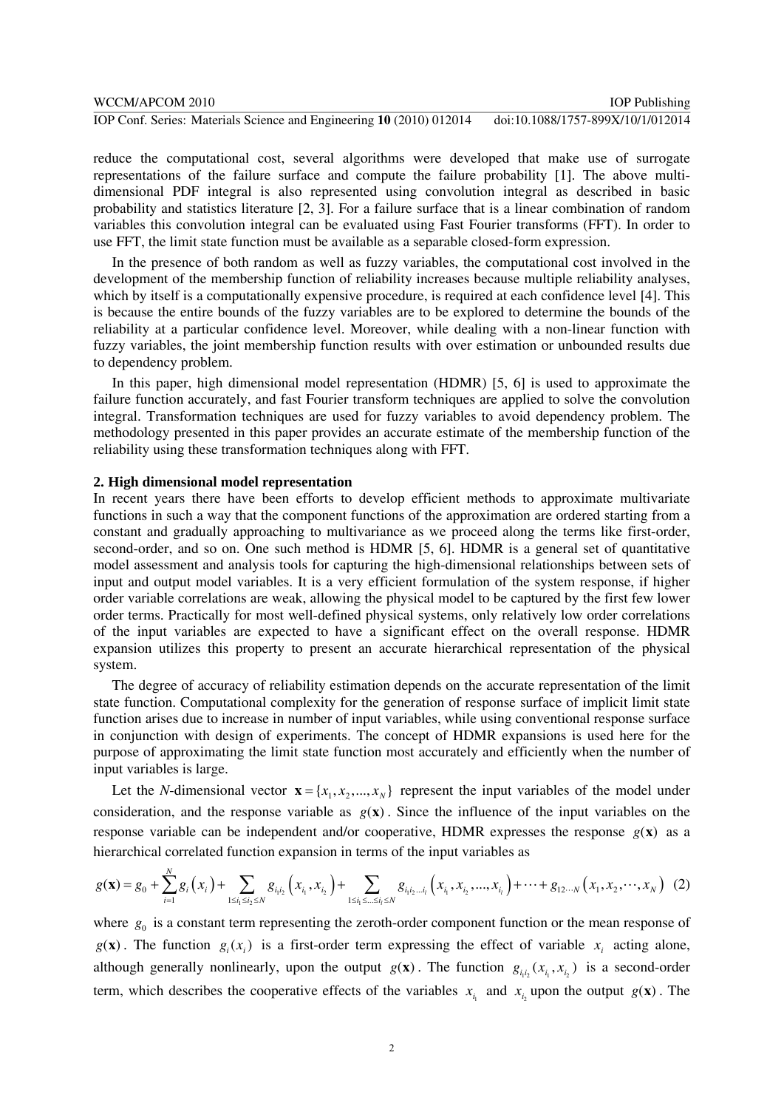| WCCM/APCOM 2010                                                      | <b>IOP</b> Publishing             |
|----------------------------------------------------------------------|-----------------------------------|
| IOP Conf. Series: Materials Science and Engineering 10 (2010) 012014 | doi:10.1088/1757-899X/10/1/012014 |

reduce the computational cost, several algorithms were developed that make use of surrogate representations of the failure surface and compute the failure probability [1]. The above multidimensional PDF integral is also represented using convolution integral as described in basic probability and statistics literature [2, 3]. For a failure surface that is a linear combination of random variables this convolution integral can be evaluated using Fast Fourier transforms (FFT). In order to use FFT, the limit state function must be available as a separable closed-form expression.

In the presence of both random as well as fuzzy variables, the computational cost involved in the development of the membership function of reliability increases because multiple reliability analyses, which by itself is a computationally expensive procedure, is required at each confidence level [4]. This is because the entire bounds of the fuzzy variables are to be explored to determine the bounds of the reliability at a particular confidence level. Moreover, while dealing with a non-linear function with fuzzy variables, the joint membership function results with over estimation or unbounded results due to dependency problem.

In this paper, high dimensional model representation (HDMR) [5, 6] is used to approximate the failure function accurately, and fast Fourier transform techniques are applied to solve the convolution integral. Transformation techniques are used for fuzzy variables to avoid dependency problem. The methodology presented in this paper provides an accurate estimate of the membership function of the reliability using these transformation techniques along with FFT.

## **2. High dimensional model representation**

In recent years there have been efforts to develop efficient methods to approximate multivariate functions in such a way that the component functions of the approximation are ordered starting from a constant and gradually approaching to multivariance as we proceed along the terms like first-order, second-order, and so on. One such method is HDMR [5, 6]. HDMR is a general set of quantitative model assessment and analysis tools for capturing the high-dimensional relationships between sets of input and output model variables. It is a very efficient formulation of the system response, if higher order variable correlations are weak, allowing the physical model to be captured by the first few lower order terms. Practically for most well-defined physical systems, only relatively low order correlations of the input variables are expected to have a significant effect on the overall response. HDMR expansion utilizes this property to present an accurate hierarchical representation of the physical system.

The degree of accuracy of reliability estimation depends on the accurate representation of the limit state function. Computational complexity for the generation of response surface of implicit limit state function arises due to increase in number of input variables, while using conventional response surface in conjunction with design of experiments. The concept of HDMR expansions is used here for the purpose of approximating the limit state function most accurately and efficiently when the number of input variables is large.

Let the *N*-dimensional vector  $\mathbf{x} = \{x_1, x_2, ..., x_N\}$  represent the input variables of the model under consideration, and the response variable as  $g(x)$ . Since the influence of the input variables on the response variable can be independent and/or cooperative, HDMR expresses the response  $g(x)$  as a hierarchical correlated function expansion in terms of the input variables as

$$
g(\mathbf{x}) = g_0 + \sum_{i=1}^N g_i(x_i) + \sum_{1 \le i_1 \le i_2 \le N} g_{i_1 i_2} (x_{i_1}, x_{i_2}) + \sum_{1 \le i_1 \le \ldots \le i_j \le N} g_{i_1 i_2 \ldots i_l} (x_{i_1}, x_{i_2}, \ldots, x_{i_l}) + \cdots + g_{12 \ldots N} (x_1, x_2, \ldots, x_N)
$$
 (2)

where  $g_0$  is a constant term representing the zeroth-order component function or the mean response of  $g(\mathbf{x})$ . The function  $g_i(x_i)$  is a first-order term expressing the effect of variable  $x_i$  acting alone, although generally nonlinearly, upon the output  $g(\mathbf{x})$ . The function  $g_{i_1 i_2}(x_{i_1}, x_{i_2})$  is a second-order term, which describes the cooperative effects of the variables  $x_{i_1}$  and  $x_{i_2}$  upon the output  $g(\mathbf{x})$ . The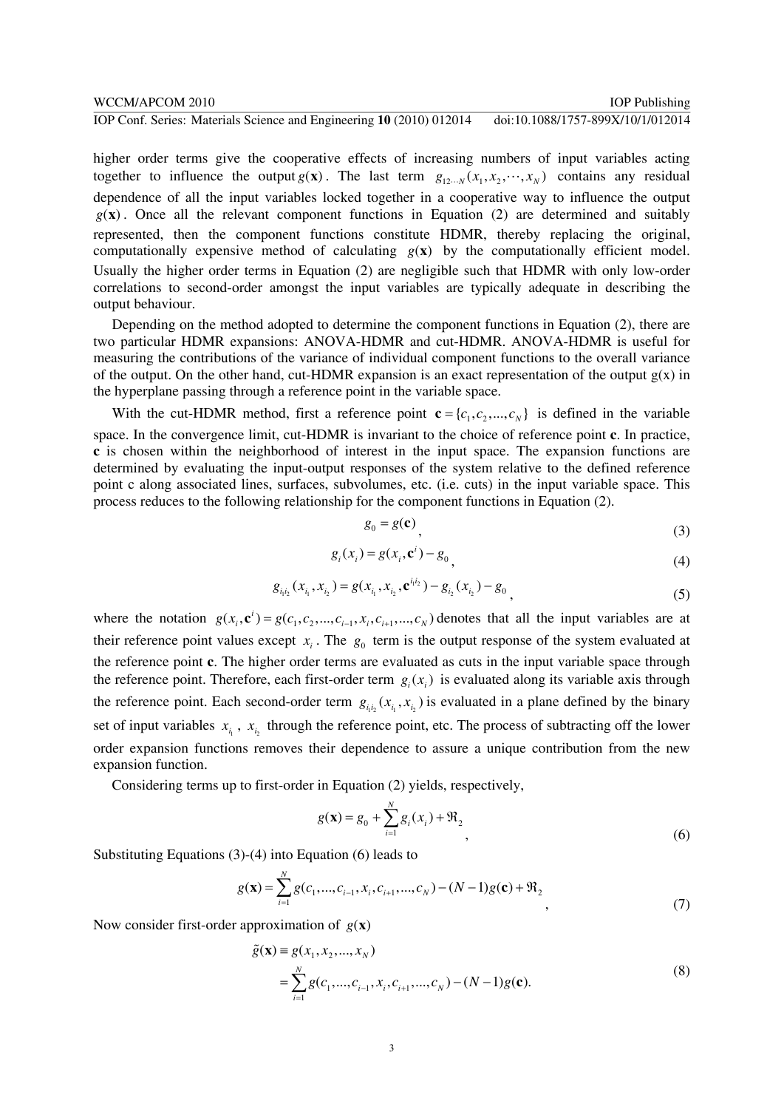| WCCM/APCOM 2010                                                      | <b>IOP</b> Publishing             |
|----------------------------------------------------------------------|-----------------------------------|
| IOP Conf. Series: Materials Science and Engineering 10 (2010) 012014 | doi:10.1088/1757-899X/10/1/012014 |

higher order terms give the cooperative effects of increasing numbers of input variables acting together to influence the output  $g(\mathbf{x})$ . The last term  $g_{12\cdots N}(x_1, x_2, \cdots, x_N)$  contains any residual dependence of all the input variables locked together in a cooperative way to influence the output  $g(x)$ . Once all the relevant component functions in Equation (2) are determined and suitably represented, then the component functions constitute HDMR, thereby replacing the original, computationally expensive method of calculating  $g(x)$  by the computationally efficient model. Usually the higher order terms in Equation (2) are negligible such that HDMR with only low-order correlations to second-order amongst the input variables are typically adequate in describing the output behaviour.

Depending on the method adopted to determine the component functions in Equation (2), there are two particular HDMR expansions: ANOVA-HDMR and cut-HDMR. ANOVA-HDMR is useful for measuring the contributions of the variance of individual component functions to the overall variance of the output. On the other hand, cut-HDMR expansion is an exact representation of the output  $g(x)$  in the hyperplane passing through a reference point in the variable space.

With the cut-HDMR method, first a reference point  $\mathbf{c} = \{c_1, c_2, ..., c_N\}$  is defined in the variable space. In the convergence limit, cut-HDMR is invariant to the choice of reference point **c**. In practice, **c** is chosen within the neighborhood of interest in the input space. The expansion functions are determined by evaluating the input-output responses of the system relative to the defined reference point c along associated lines, surfaces, subvolumes, etc. (i.e. cuts) in the input variable space. This process reduces to the following relationship for the component functions in Equation (2).

$$
g_0 = g(\mathbf{c}) \tag{3}
$$

$$
g_i(x_i) = g(x_i, \mathbf{c}^i) - g_0 \tag{4}
$$

$$
g_{i_1 i_2}(x_{i_1}, x_{i_2}) = g(x_{i_1}, x_{i_2}, \mathbf{c}^{i_1 i_2}) - g_{i_2}(x_{i_2}) - g_0,
$$
\n(5)

where the notation  $g(x_i, \mathbf{c}^i) = g(c_1, c_2, \dots, c_{i-1}, x_i, c_{i+1}, \dots, c_N)$  denotes that all the input variables are at their reference point values except  $x_i$ . The  $g_0$  term is the output response of the system evaluated at the reference point **c**. The higher order terms are evaluated as cuts in the input variable space through the reference point. Therefore, each first-order term  $g_i(x_i)$  is evaluated along its variable axis through the reference point. Each second-order term  $g_{i_1 i_2}(x_{i_1}, x_{i_2})$  is evaluated in a plane defined by the binary set of input variables  $x_{i_1}$ ,  $x_{i_2}$  through the reference point, etc. The process of subtracting off the lower order expansion functions removes their dependence to assure a unique contribution from the new expansion function.

Considering terms up to first-order in Equation (2) yields, respectively,

$$
g(\mathbf{x}) = g_0 + \sum_{i=1}^{N} g_i(x_i) + \Re_2
$$
\n(6)

Substituting Equations (3)-(4) into Equation (6) leads to

$$
g(\mathbf{x}) = \sum_{i=1}^{N} g(c_1, ..., c_{i-1}, x_i, c_{i+1}, ..., c_N) - (N-1)g(\mathbf{c}) + \mathfrak{R}_2,
$$
\n(7)

Now consider first-order approximation of  $g(\mathbf{x})$ 

$$
\tilde{g}(\mathbf{x}) \equiv g(x_1, x_2, ..., x_N)
$$
  
= 
$$
\sum_{i=1}^{N} g(c_1, ..., c_{i-1}, x_i, c_{i+1}, ..., c_N) - (N-1)g(\mathbf{c}).
$$
 (8)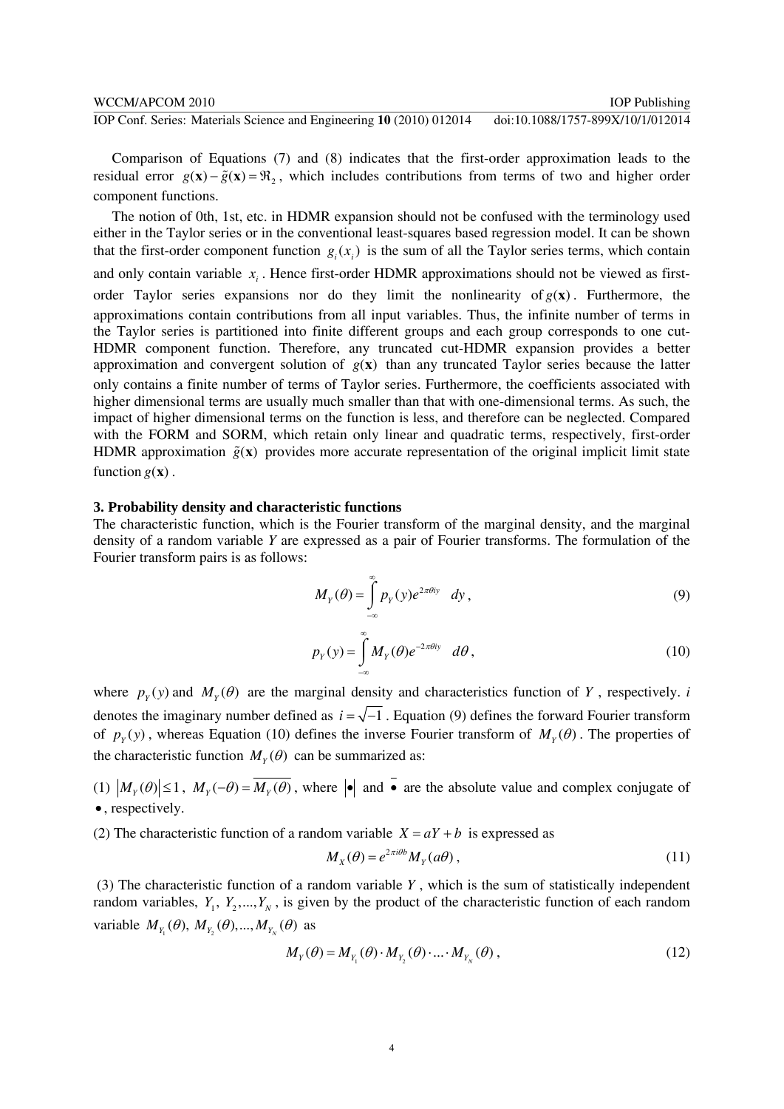| WCCM/APCOM 2010                                                      | <b>IOP</b> Publishing             |
|----------------------------------------------------------------------|-----------------------------------|
| IOP Conf. Series: Materials Science and Engineering 10 (2010) 012014 | doi:10.1088/1757-899X/10/1/012014 |

Comparison of Equations (7) and (8) indicates that the first-order approximation leads to the residual error  $g(\mathbf{x}) - \tilde{g}(\mathbf{x}) = \mathfrak{R}$ , which includes contributions from terms of two and higher order component functions.

The notion of 0th, 1st, etc. in HDMR expansion should not be confused with the terminology used either in the Taylor series or in the conventional least-squares based regression model. It can be shown that the first-order component function  $g_i(x_i)$  is the sum of all the Taylor series terms, which contain and only contain variable  $x_i$ . Hence first-order HDMR approximations should not be viewed as firstorder Taylor series expansions nor do they limit the nonlinearity of  $g(x)$ . Furthermore, the approximations contain contributions from all input variables. Thus, the infinite number of terms in the Taylor series is partitioned into finite different groups and each group corresponds to one cut-HDMR component function. Therefore, any truncated cut-HDMR expansion provides a better approximation and convergent solution of  $g(x)$  than any truncated Taylor series because the latter only contains a finite number of terms of Taylor series. Furthermore, the coefficients associated with higher dimensional terms are usually much smaller than that with one-dimensional terms. As such, the impact of higher dimensional terms on the function is less, and therefore can be neglected. Compared with the FORM and SORM, which retain only linear and quadratic terms, respectively, first-order HDMR approximation  $\tilde{g}(x)$  provides more accurate representation of the original implicit limit state function  $g(\mathbf{x})$ .

#### **3. Probability density and characteristic functions**

The characteristic function, which is the Fourier transform of the marginal density, and the marginal density of a random variable *Y* are expressed as a pair of Fourier transforms. The formulation of the Fourier transform pairs is as follows:

$$
M_Y(\theta) = \int_{-\infty}^{\infty} p_Y(y) e^{2\pi \theta y} dy,
$$
\n(9)

$$
p_Y(y) = \int_{-\infty}^{\infty} M_Y(\theta) e^{-2\pi \theta y} d\theta,
$$
 (10)

where  $p_y(y)$  and  $M_y(\theta)$  are the marginal density and characteristics function of *Y*, respectively. *i* denotes the imaginary number defined as  $i = \sqrt{-1}$ . Equation (9) defines the forward Fourier transform of  $p_y(y)$ , whereas Equation (10) defines the inverse Fourier transform of  $M_y(\theta)$ . The properties of the characteristic function  $M_y(\theta)$  can be summarized as:

(1)  $|M_Y(\theta)| \leq 1$ ,  $M_Y(-\theta) = \overline{M_Y(\theta)}$ , where  $|\bullet|$  and  $\overline{\bullet}$  are the absolute value and complex conjugate of •, respectively.

(2) The characteristic function of a random variable  $X = aY + b$  is expressed as

$$
M_X(\theta) = e^{2\pi i \theta b} M_Y(a\theta) , \qquad (11)
$$

 (3) The characteristic function of a random variable *Y* , which is the sum of statistically independent random variables,  $Y_1, Y_2, ..., Y_N$ , is given by the product of the characteristic function of each random variable  $M_{Y_1}(\theta)$ ,  $M_{Y_2}(\theta)$ , ...,  $M_{Y_N}(\theta)$  as

$$
M_Y(\theta) = M_{Y_1}(\theta) \cdot M_{Y_2}(\theta) \cdot \dots \cdot M_{Y_N}(\theta) ,
$$
\n(12)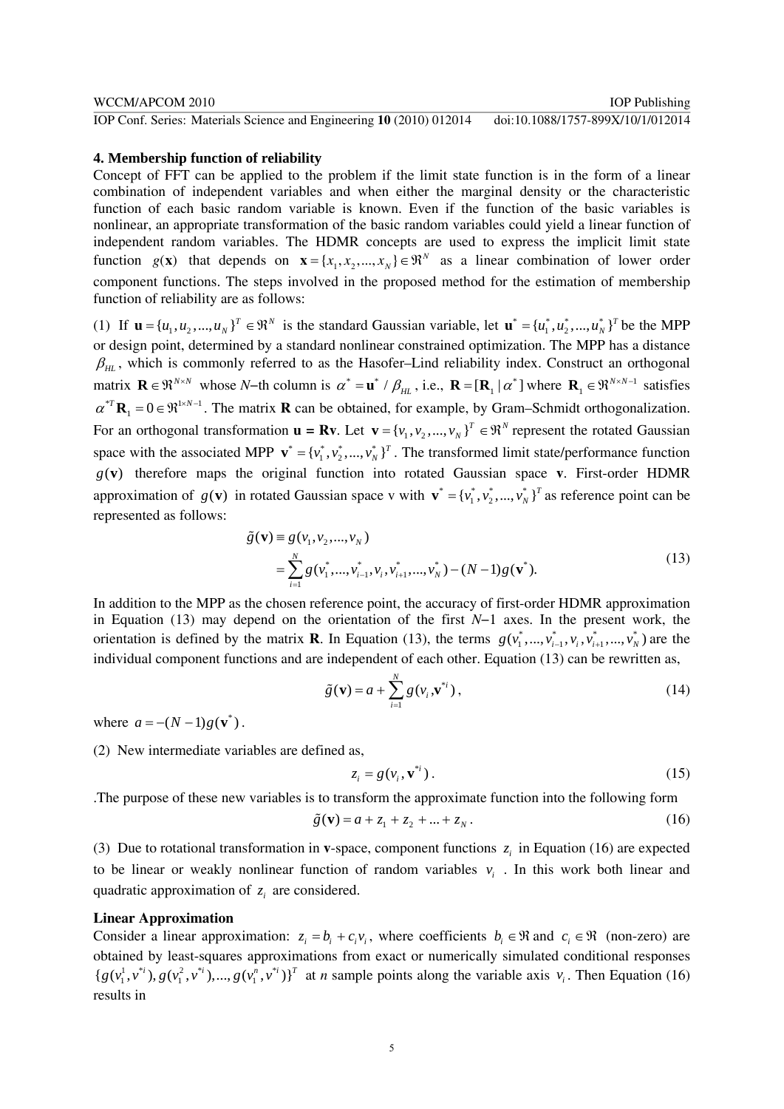| WCCM/APCOM 2010                                                      | <b>IOP</b> Publishing             |
|----------------------------------------------------------------------|-----------------------------------|
| IOP Conf. Series: Materials Science and Engineering 10 (2010) 012014 | doi:10.1088/1757-899X/10/1/012014 |

## **4. Membership function of reliability**

Concept of FFT can be applied to the problem if the limit state function is in the form of a linear combination of independent variables and when either the marginal density or the characteristic function of each basic random variable is known. Even if the function of the basic variables is nonlinear, an appropriate transformation of the basic random variables could yield a linear function of independent random variables. The HDMR concepts are used to express the implicit limit state function  $g(\mathbf{x})$  that depends on  $\mathbf{x} = \{x_1, x_2, ..., x_N\} \in \mathbb{R}^N$  as a linear combination of lower order component functions. The steps involved in the proposed method for the estimation of membership function of reliability are as follows:

(1) If  $\mathbf{u} = \{u_1, u_2, ..., u_N\}^T \in \mathbb{R}^N$  is the standard Gaussian variable, let  $\mathbf{u}^* = \{u_1^*, u_2^*, ..., u_N^*\}^T$  be the MPP or design point, determined by a standard nonlinear constrained optimization. The MPP has a distance  $\beta_{HL}$ , which is commonly referred to as the Hasofer–Lind reliability index. Construct an orthogonal matrix  $\mathbf{R} \in \mathbb{R}^{N \times N}$  whose *N*−th column is  $\alpha^* = \mathbf{u}^* / \beta_{HL}$ , i.e.,  $\mathbf{R} = [\mathbf{R}_1 | \alpha^*]$  where  $\mathbf{R}_1 \in \mathbb{R}^{N \times N-1}$  satisfies  $\alpha^{*T}$ **R**<sub>1</sub> = 0  $\in \mathbb{R}^{1 \times N-1}$ . The matrix **R** can be obtained, for example, by Gram–Schmidt orthogonalization. For an orthogonal transformation  $\mathbf{u} = \mathbf{R}\mathbf{v}$ . Let  $\mathbf{v} = \{v_1, v_2, ..., v_N\}^T \in \mathbb{R}^N$  represent the rotated Gaussian space with the associated MPP  $\mathbf{v}^* = \{v_1^*, v_2^*, ..., v_N^*\}^T$ . The transformed limit state/performance function  $g(\mathbf{v})$  therefore maps the original function into rotated Gaussian space **v**. First-order HDMR approximation of  $g(\mathbf{v})$  in rotated Gaussian space v with  $\mathbf{v}^* = \{v_1^*, v_2^*, ..., v_N^*\}^T$  as reference point can be represented as follows:

$$
\tilde{g}(\mathbf{v}) = g(v_1, v_2, ..., v_N)
$$
  
= 
$$
\sum_{i=1}^{N} g(v_1^*, ..., v_{i-1}^*, v_i, v_{i+1}^*, ..., v_N^*) - (N-1)g(\mathbf{v}^*).
$$
 (13)

In addition to the MPP as the chosen reference point, the accuracy of first-order HDMR approximation in Equation (13) may depend on the orientation of the first *N*−1 axes. In the present work, the orientation is defined by the matrix **R**. In Equation (13), the terms  $g(v_1^*,..., v_{i-1}^*, v_i, v_{i+1}^*,..., v_N^*)$  are the individual component functions and are independent of each other. Equation (13) can be rewritten as,

$$
\tilde{g}(\mathbf{v}) = a + \sum_{i=1}^{N} g(v_i, \mathbf{v}^{*i}),
$$
\n(14)

where  $a = -(N-1)g(v^*)$ .

(2) New intermediate variables are defined as,

$$
z_i = g(v_i, \mathbf{v}^{*i}).
$$
\n(15)

.The purpose of these new variables is to transform the approximate function into the following form

$$
\tilde{g}(\mathbf{v}) = a + z_1 + z_2 + \dots + z_N.
$$
 (16)

(3) Due to rotational transformation in **v**-space, component functions  $z_i$  in Equation (16) are expected to be linear or weakly nonlinear function of random variables  $v_i$ . In this work both linear and quadratic approximation of  $z_i$  are considered.

## **Linear Approximation**

Consider a linear approximation:  $z_i = b_i + c_i v_i$ , where coefficients  $b_i \in \Re$  and  $c_i \in \Re$  (non-zero) are obtained by least-squares approximations from exact or numerically simulated conditional responses  $\{g(v_1^1, v^{*i}), g(v_1^2, v^{*i}), ..., g(v_1^n, v^{*i})\}^T$  at *n* sample points along the variable axis  $v_i$ . Then Equation (16) results in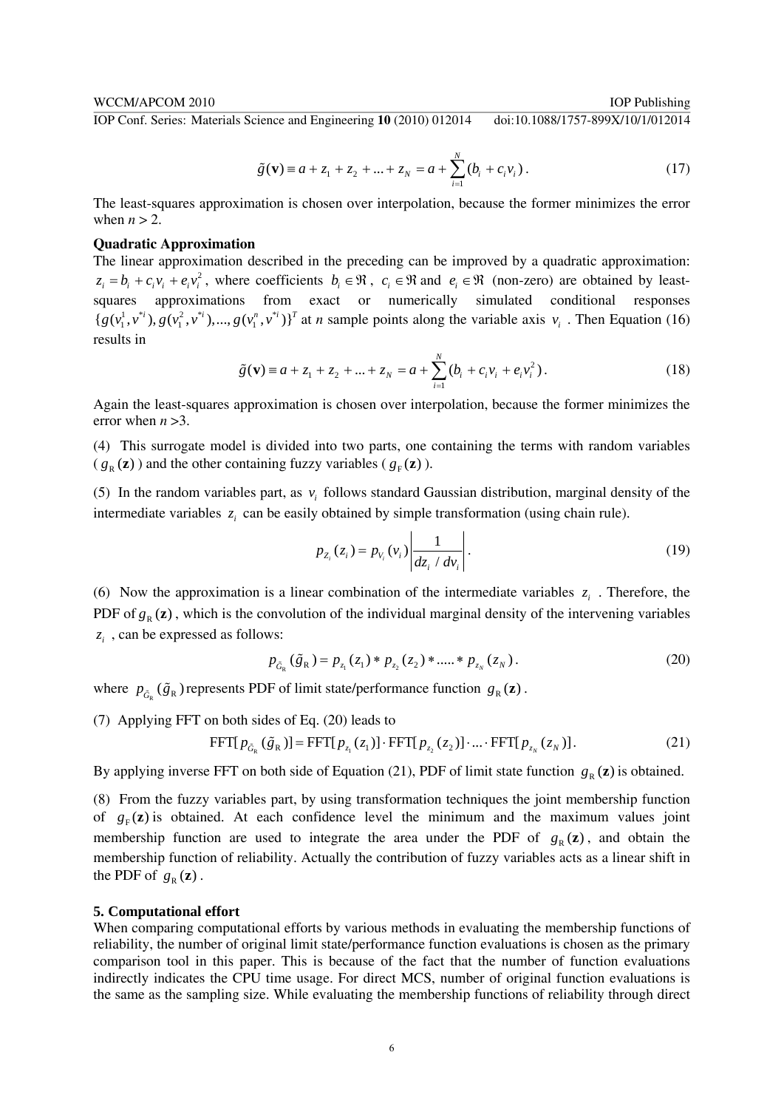IOP Conf. Series: Materials Science and Engineering **10** (2010) 012014 doi:10.1088/1757-899X/10/1/012014

$$
\tilde{g}(\mathbf{v}) = a + z_1 + z_2 + \dots + z_N = a + \sum_{i=1}^{N} (b_i + c_i v_i).
$$
 (17)

The least-squares approximation is chosen over interpolation, because the former minimizes the error when  $n > 2$ .

### **Quadratic Approximation**

The linear approximation described in the preceding can be improved by a quadratic approximation:  $z_i = b_i + c_i v_i + e_i v_i^2$ , where coefficients  $b_i \in \Re$ ,  $c_i \in \Re$  and  $e_i \in \Re$  (non-zero) are obtained by leastsquares approximations from exact or numerically simulated conditional responses  $\{g(v_1^1, v^{*i}), g(v_1^2, v^{*i}), ..., g(v_1^n, v^{*i})\}^T$  at *n* sample points along the variable axis  $v_i$ . Then Equation (16) results in

$$
\tilde{g}(\mathbf{v}) \equiv a + z_1 + z_2 + ... + z_N = a + \sum_{i=1}^{N} (b_i + c_i v_i + e_i v_i^2).
$$
 (18)

Again the least-squares approximation is chosen over interpolation, because the former minimizes the error when  $n > 3$ .

(4) This surrogate model is divided into two parts, one containing the terms with random variables  $(g_R(z))$  and the other containing fuzzy variables ( $g_F(z)$ ).

(5) In the random variables part, as  $v_i$  follows standard Gaussian distribution, marginal density of the intermediate variables  $z_i$  can be easily obtained by simple transformation (using chain rule).

$$
p_{z_i}(z_i) = p_{v_i}(v_i) \left| \frac{1}{dz_i / dv_i} \right|.
$$
 (19)

(6) Now the approximation is a linear combination of the intermediate variables  $z_i$ . Therefore, the PDF of  $g_R(z)$ , which is the convolution of the individual marginal density of the intervening variables  $z_i$ , can be expressed as follows:

$$
p_{\tilde{G}_{R}}(\tilde{g}_{R}) = p_{z_{1}}(z_{1}) * p_{z_{2}}(z_{2}) * ..... * p_{z_{N}}(z_{N}). \qquad (20)
$$

where  $p_{\tilde{G}_R} (\tilde{g}_R)$  represents PDF of limit state/performance function  $g_R(z)$ .

(7) Applying FFT on both sides of Eq. (20) leads to

$$
\text{FFT}[p_{\tilde{G}_{R}}(\tilde{g}_{R})] = \text{FFT}[p_{z_{1}}(z_{1})] \cdot \text{FFT}[p_{z_{2}}(z_{2})] \cdot ... \cdot \text{FFT}[p_{z_{N}}(z_{N})]. \tag{21}
$$

By applying inverse FFT on both side of Equation (21), PDF of limit state function  $g_R(z)$  is obtained.

(8) From the fuzzy variables part, by using transformation techniques the joint membership function of  $g_F(z)$  is obtained. At each confidence level the minimum and the maximum values joint membership function are used to integrate the area under the PDF of  $g_R(z)$ , and obtain the membership function of reliability. Actually the contribution of fuzzy variables acts as a linear shift in the PDF of  $g_R(z)$ .

#### **5. Computational effort**

When comparing computational efforts by various methods in evaluating the membership functions of reliability, the number of original limit state/performance function evaluations is chosen as the primary comparison tool in this paper. This is because of the fact that the number of function evaluations indirectly indicates the CPU time usage. For direct MCS, number of original function evaluations is the same as the sampling size. While evaluating the membership functions of reliability through direct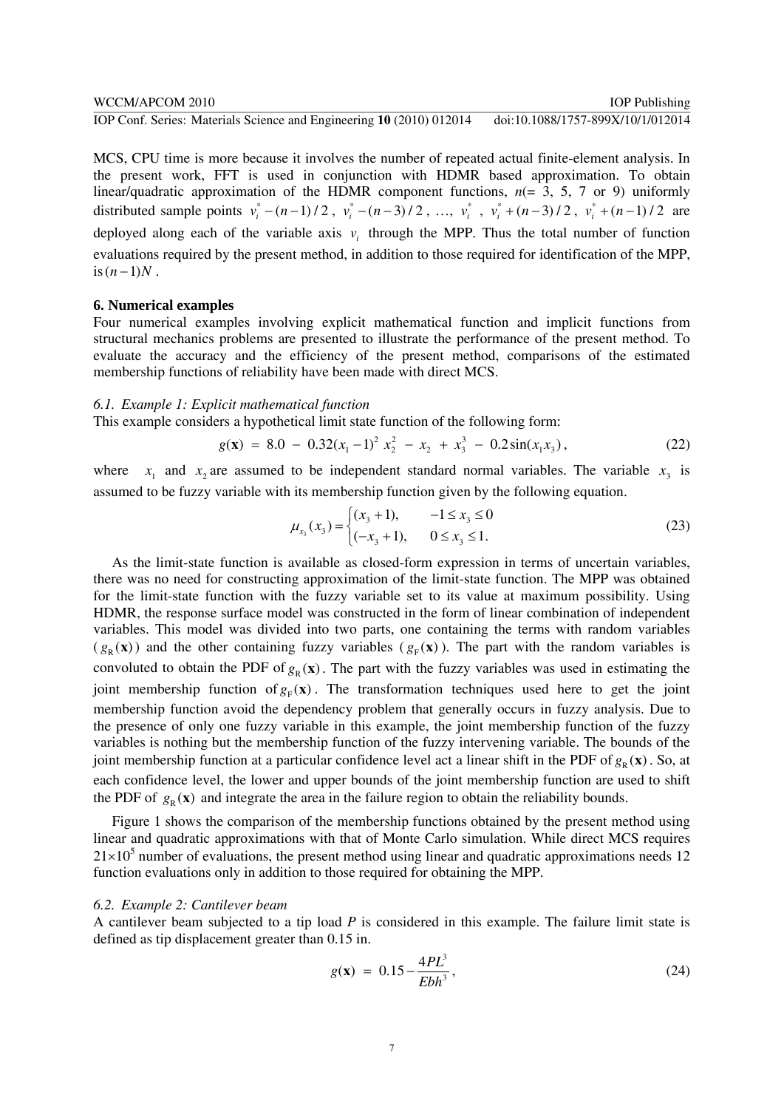WCCM/APCOM 2010 **IOP** Publishing

IOP Conf. Series: Materials Science and Engineering **10** (2010) 012014 doi:10.1088/1757-899X/10/1/012014

MCS, CPU time is more because it involves the number of repeated actual finite-element analysis. In the present work, FFT is used in conjunction with HDMR based approximation. To obtain linear/quadratic approximation of the HDMR component functions, *n*(= 3, 5, 7 or 9) uniformly distributed sample points  $v_i^* - (n-1)/2$ ,  $v_i^* - (n-3)/2$ , ...,  $v_i^*$ ,  $v_i^* + (n-3)/2$ ,  $v_i^* + (n-1)/2$  are deployed along each of the variable axis  $v_i$  through the MPP. Thus the total number of function evaluations required by the present method, in addition to those required for identification of the MPP, is  $(n-1)N$ .

## **6. Numerical examples**

Four numerical examples involving explicit mathematical function and implicit functions from structural mechanics problems are presented to illustrate the performance of the present method. To evaluate the accuracy and the efficiency of the present method, comparisons of the estimated membership functions of reliability have been made with direct MCS.

#### *6.1. Example 1: Explicit mathematical function*

This example considers a hypothetical limit state function of the following form:

$$
g(\mathbf{x}) = 8.0 - 0.32(x_1 - 1)^2 x_2^2 - x_2 + x_3^3 - 0.2\sin(x_1x_3),
$$
 (22)

where  $x_1$  and  $x_2$  are assumed to be independent standard normal variables. The variable  $x_3$  is assumed to be fuzzy variable with its membership function given by the following equation.

$$
\mu_{x_3}(x_3) = \begin{cases} (x_3 + 1), & -1 \le x_3 \le 0 \\ (-x_3 + 1), & 0 \le x_3 \le 1. \end{cases}
$$
\n(23)

As the limit-state function is available as closed-form expression in terms of uncertain variables, there was no need for constructing approximation of the limit-state function. The MPP was obtained for the limit-state function with the fuzzy variable set to its value at maximum possibility. Using HDMR, the response surface model was constructed in the form of linear combination of independent variables. This model was divided into two parts, one containing the terms with random variables  $(g_R(\mathbf{x}))$  and the other containing fuzzy variables  $(g_F(\mathbf{x}))$ . The part with the random variables is convoluted to obtain the PDF of  $g_R(x)$ . The part with the fuzzy variables was used in estimating the joint membership function of  $g_F(x)$ . The transformation techniques used here to get the joint membership function avoid the dependency problem that generally occurs in fuzzy analysis. Due to the presence of only one fuzzy variable in this example, the joint membership function of the fuzzy variables is nothing but the membership function of the fuzzy intervening variable. The bounds of the joint membership function at a particular confidence level act a linear shift in the PDF of  $g_R(\mathbf{x})$ . So, at each confidence level, the lower and upper bounds of the joint membership function are used to shift the PDF of  $g_R(x)$  and integrate the area in the failure region to obtain the reliability bounds.

Figure 1 shows the comparison of the membership functions obtained by the present method using linear and quadratic approximations with that of Monte Carlo simulation. While direct MCS requires  $21\times10^5$  number of evaluations, the present method using linear and quadratic approximations needs 12 function evaluations only in addition to those required for obtaining the MPP.

#### *6.2. Example 2: Cantilever beam*

A cantilever beam subjected to a tip load *P* is considered in this example. The failure limit state is defined as tip displacement greater than 0.15 in.

$$
g(\mathbf{x}) = 0.15 - \frac{4PL^3}{Ebh^3},\tag{24}
$$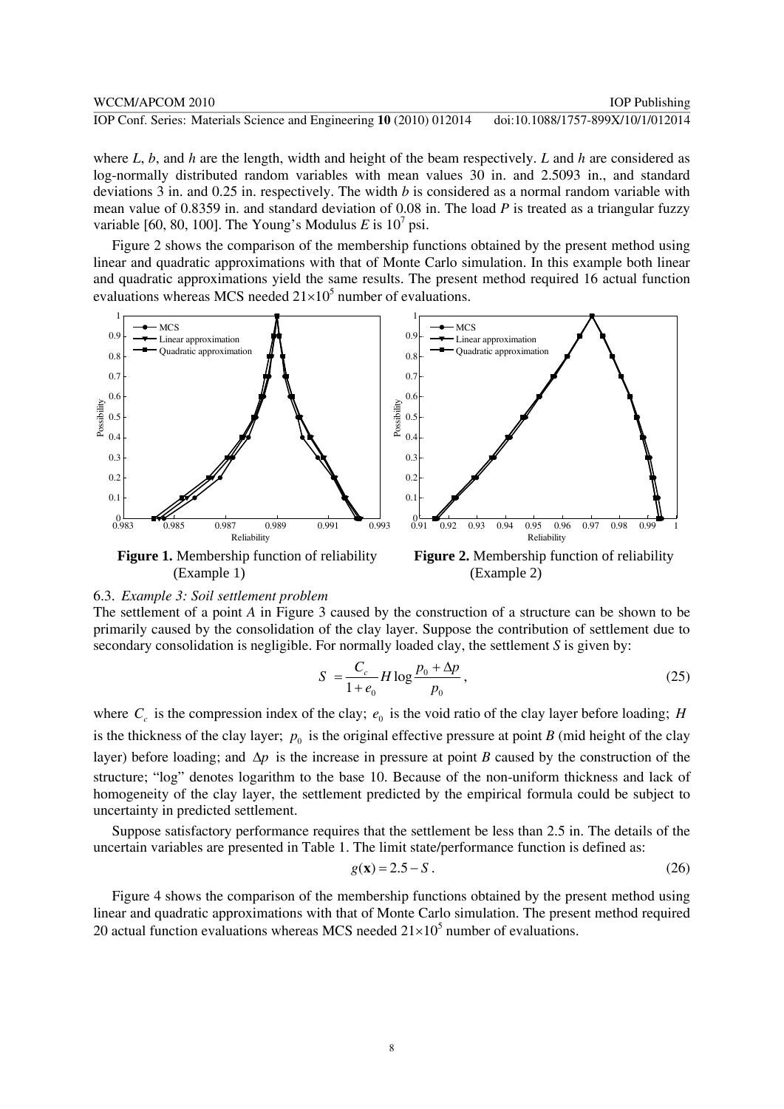| WCCM/APCOM 2010                                                      | <b>IOP</b> Publishing             |
|----------------------------------------------------------------------|-----------------------------------|
| IOP Conf. Series: Materials Science and Engineering 10 (2010) 012014 | doi:10.1088/1757-899X/10/1/012014 |

where *L*, *b*, and *h* are the length, width and height of the beam respectively. *L* and *h* are considered as log-normally distributed random variables with mean values 30 in. and 2.5093 in., and standard deviations 3 in. and 0.25 in. respectively. The width *b* is considered as a normal random variable with mean value of 0.8359 in. and standard deviation of 0.08 in. The load *P* is treated as a triangular fuzzy variable [60, 80, 100]. The Young's Modulus  $E$  is  $10^7$  psi.

Figure 2 shows the comparison of the membership functions obtained by the present method using linear and quadratic approximations with that of Monte Carlo simulation. In this example both linear and quadratic approximations yield the same results. The present method required 16 actual function evaluations whereas MCS needed  $21 \times 10^5$  number of evaluations.



## 6.3. *Example 3: Soil settlement problem*

The settlement of a point *A* in Figure 3 caused by the construction of a structure can be shown to be primarily caused by the consolidation of the clay layer. Suppose the contribution of settlement due to secondary consolidation is negligible. For normally loaded clay, the settlement *S* is given by:

$$
S = \frac{C_c}{1 + e_0} H \log \frac{p_0 + \Delta p}{p_0},
$$
\n(25)

where  $C_c$  is the compression index of the clay;  $e_0$  is the void ratio of the clay layer before loading; *H* is the thickness of the clay layer;  $p_0$  is the original effective pressure at point *B* (mid height of the clay layer) before loading; and Δ*p* is the increase in pressure at point *B* caused by the construction of the structure; "log" denotes logarithm to the base 10. Because of the non-uniform thickness and lack of homogeneity of the clay layer, the settlement predicted by the empirical formula could be subject to uncertainty in predicted settlement.

Suppose satisfactory performance requires that the settlement be less than 2.5 in. The details of the uncertain variables are presented in Table 1. The limit state/performance function is defined as:

$$
g(\mathbf{x}) = 2.5 - S. \tag{26}
$$

Figure 4 shows the comparison of the membership functions obtained by the present method using linear and quadratic approximations with that of Monte Carlo simulation. The present method required 20 actual function evaluations whereas MCS needed  $21 \times 10^5$  number of evaluations.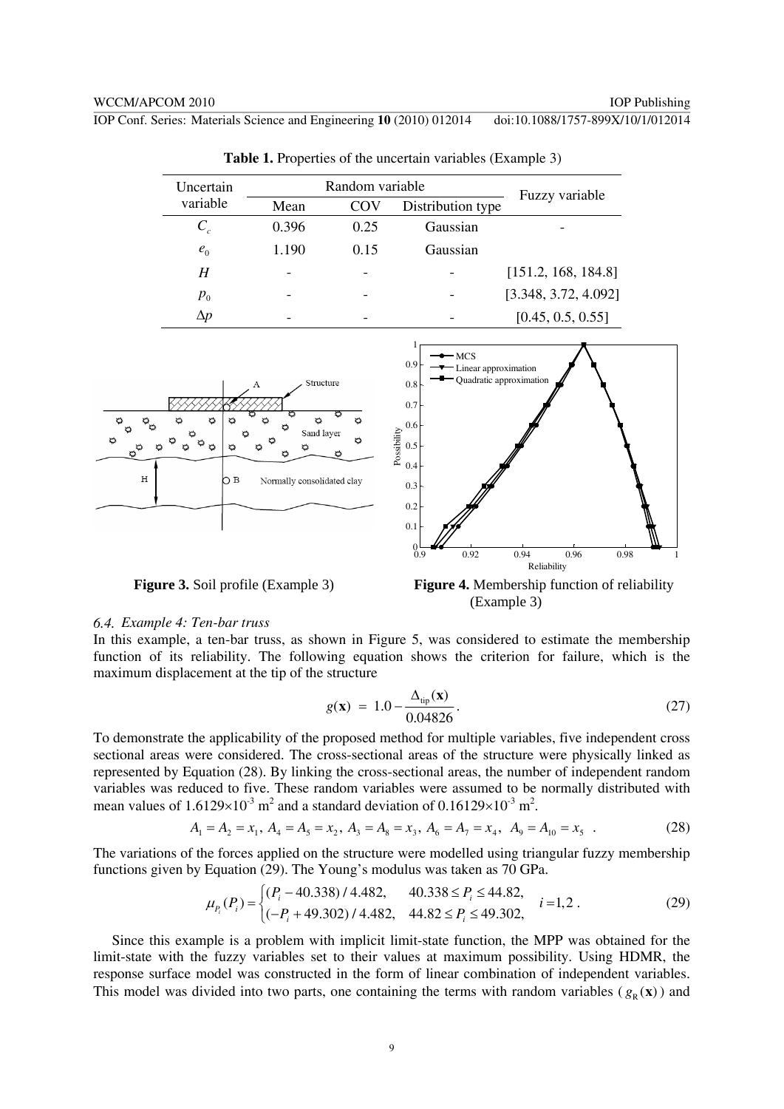IOP Conf. Series: Materials Science and Engineering **10** (2010) 012014 doi:10.1088/1757-899X/10/1/012014

| Uncertain  | Random variable |      | Fuzzy variable    |                      |
|------------|-----------------|------|-------------------|----------------------|
| variable   | Mean            | COV  | Distribution type |                      |
| $C_c$      | 0.396           | 0.25 | Gaussian          |                      |
| $e_0$      | 1.190           | 0.15 | Gaussian          |                      |
| H          |                 |      |                   | [151.2, 168, 184.8]  |
| $p_{0}$    |                 |      |                   | [3.348, 3.72, 4.092] |
| $\Delta p$ |                 |      |                   | [0.45, 0.5, 0.55]    |





**Figure 3.** Soil profile (Example 3)

**Figure 4.** Membership function of reliability (Example 3)

#### *6.4. Example 4: Ten-bar truss*

In this example, a ten-bar truss, as shown in Figure 5, was considered to estimate the membership function of its reliability. The following equation shows the criterion for failure, which is the maximum displacement at the tip of the structure

$$
g(\mathbf{x}) = 1.0 - \frac{\Delta_{\text{tip}}(\mathbf{x})}{0.04826}.
$$
 (27)

To demonstrate the applicability of the proposed method for multiple variables, five independent cross sectional areas were considered. The cross-sectional areas of the structure were physically linked as represented by Equation (28). By linking the cross-sectional areas, the number of independent random variables was reduced to five. These random variables were assumed to be normally distributed with mean values of  $1.6129 \times 10^{-3}$  m<sup>2</sup> and a standard deviation of  $0.16129 \times 10^{-3}$  m<sup>2</sup>.

$$
A_1 = A_2 = x_1, A_4 = A_5 = x_2, A_3 = A_8 = x_3, A_6 = A_7 = x_4, A_9 = A_{10} = x_5
$$
 (28)

The variations of the forces applied on the structure were modelled using triangular fuzzy membership functions given by Equation (29). The Young's modulus was taken as 70 GPa.

$$
\mu_{P_i}(P_i) = \begin{cases} (P_i - 40.338) / 4.482, & 40.338 \le P_i \le 44.82, \\ (-P_i + 49.302) / 4.482, & 44.82 \le P_i \le 49.302, \end{cases} \quad i = 1, 2.
$$
 (29)

Since this example is a problem with implicit limit-state function, the MPP was obtained for the limit-state with the fuzzy variables set to their values at maximum possibility. Using HDMR, the response surface model was constructed in the form of linear combination of independent variables. This model was divided into two parts, one containing the terms with random variables ( $g<sub>B</sub>(\mathbf{x})$ ) and